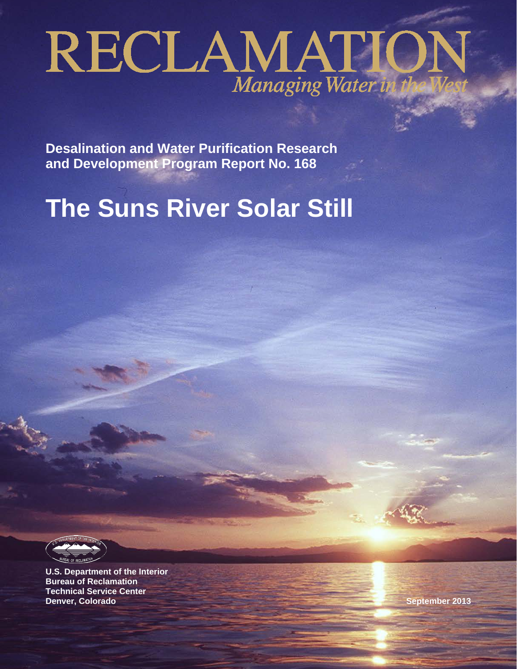# RECLAMATION

**Desalination and Water Purification Research and Development Program Report No. 168**

# **The Suns River Solar Still**

**U.S. Department of the Interior Bureau of Reclamation Technical Service Center Denver, Colorado September 2013**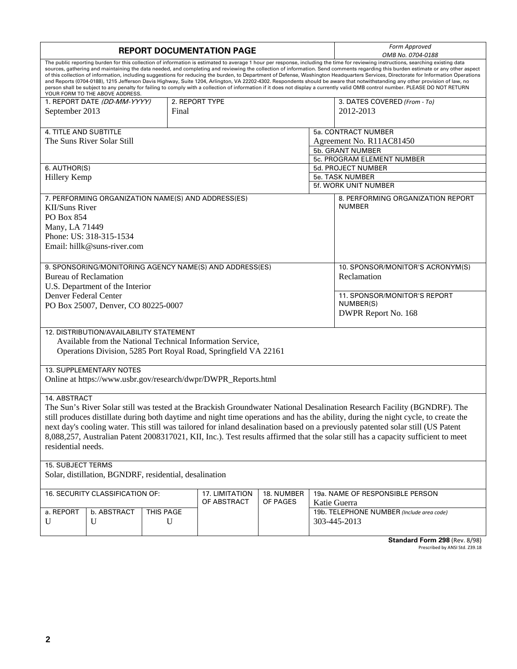| <b>REPORT DOCUMENTATION PAGE</b>                                                                                                                                                                                                                                                                                                                                                                                                                                                                                                                                                                                                                                                                                                                                                                                                                                                                                                                                     |                                                    |           |       |                                                                 |              |                              | Form Approved<br>OMB No. 0704-0188        |  |
|----------------------------------------------------------------------------------------------------------------------------------------------------------------------------------------------------------------------------------------------------------------------------------------------------------------------------------------------------------------------------------------------------------------------------------------------------------------------------------------------------------------------------------------------------------------------------------------------------------------------------------------------------------------------------------------------------------------------------------------------------------------------------------------------------------------------------------------------------------------------------------------------------------------------------------------------------------------------|----------------------------------------------------|-----------|-------|-----------------------------------------------------------------|--------------|------------------------------|-------------------------------------------|--|
| The public reporting burden for this collection of information is estimated to average 1 hour per response, including the time for reviewing instructions, searching existing data<br>sources, gathering and maintaining the data needed, and completing and reviewing the collection of information. Send comments regarding this burden estimate or any other aspect<br>of this collection of information, including suggestions for reducing the burden, to Department of Defense, Washington Headquarters Services, Directorate for Information Operations<br>and Reports (0704-0188), 1215 Jefferson Davis Highway, Suite 1204, Arlington, VA 22202-4302. Respondents should be aware that notwithstanding any other provision of law, no<br>person shall be subject to any penalty for failing to comply with a collection of information if it does not display a currently valid OMB control number. PLEASE DO NOT RETURN<br>YOUR FORM TO THE ABOVE ADDRESS. |                                                    |           |       |                                                                 |              |                              |                                           |  |
| 1. REPORT DATE (DD-MM-YYYY)<br>2. REPORT TYPE                                                                                                                                                                                                                                                                                                                                                                                                                                                                                                                                                                                                                                                                                                                                                                                                                                                                                                                        |                                                    |           |       |                                                                 |              | 3. DATES COVERED (From - To) |                                           |  |
| September 2013                                                                                                                                                                                                                                                                                                                                                                                                                                                                                                                                                                                                                                                                                                                                                                                                                                                                                                                                                       |                                                    |           | Final |                                                                 |              |                              | 2012-2013                                 |  |
|                                                                                                                                                                                                                                                                                                                                                                                                                                                                                                                                                                                                                                                                                                                                                                                                                                                                                                                                                                      |                                                    |           |       |                                                                 |              |                              |                                           |  |
| 4. TITLE AND SUBTITLE                                                                                                                                                                                                                                                                                                                                                                                                                                                                                                                                                                                                                                                                                                                                                                                                                                                                                                                                                |                                                    |           |       |                                                                 |              |                              | 5a. CONTRACT NUMBER                       |  |
| The Suns River Solar Still                                                                                                                                                                                                                                                                                                                                                                                                                                                                                                                                                                                                                                                                                                                                                                                                                                                                                                                                           |                                                    |           |       |                                                                 |              | Agreement No. R11AC81450     |                                           |  |
|                                                                                                                                                                                                                                                                                                                                                                                                                                                                                                                                                                                                                                                                                                                                                                                                                                                                                                                                                                      |                                                    |           |       |                                                                 |              |                              | 5b. GRANT NUMBER                          |  |
|                                                                                                                                                                                                                                                                                                                                                                                                                                                                                                                                                                                                                                                                                                                                                                                                                                                                                                                                                                      |                                                    |           |       |                                                                 |              | 5c. PROGRAM ELEMENT NUMBER   |                                           |  |
| 6. AUTHOR(S)                                                                                                                                                                                                                                                                                                                                                                                                                                                                                                                                                                                                                                                                                                                                                                                                                                                                                                                                                         |                                                    |           |       |                                                                 |              |                              | 5d. PROJECT NUMBER                        |  |
| Hillery Kemp                                                                                                                                                                                                                                                                                                                                                                                                                                                                                                                                                                                                                                                                                                                                                                                                                                                                                                                                                         |                                                    |           |       |                                                                 |              |                              | 5e. TASK NUMBER                           |  |
|                                                                                                                                                                                                                                                                                                                                                                                                                                                                                                                                                                                                                                                                                                                                                                                                                                                                                                                                                                      |                                                    |           |       |                                                                 |              |                              | 5f. WORK UNIT NUMBER                      |  |
|                                                                                                                                                                                                                                                                                                                                                                                                                                                                                                                                                                                                                                                                                                                                                                                                                                                                                                                                                                      | 7. PERFORMING ORGANIZATION NAME(S) AND ADDRESS(ES) |           |       |                                                                 |              |                              | 8. PERFORMING ORGANIZATION REPORT         |  |
| <b>KII/Suns River</b>                                                                                                                                                                                                                                                                                                                                                                                                                                                                                                                                                                                                                                                                                                                                                                                                                                                                                                                                                |                                                    |           |       |                                                                 |              |                              | <b>NUMBER</b>                             |  |
|                                                                                                                                                                                                                                                                                                                                                                                                                                                                                                                                                                                                                                                                                                                                                                                                                                                                                                                                                                      |                                                    |           |       |                                                                 |              |                              |                                           |  |
| <b>PO Box 854</b>                                                                                                                                                                                                                                                                                                                                                                                                                                                                                                                                                                                                                                                                                                                                                                                                                                                                                                                                                    |                                                    |           |       |                                                                 |              |                              |                                           |  |
| Many, LA 71449                                                                                                                                                                                                                                                                                                                                                                                                                                                                                                                                                                                                                                                                                                                                                                                                                                                                                                                                                       |                                                    |           |       |                                                                 |              |                              |                                           |  |
|                                                                                                                                                                                                                                                                                                                                                                                                                                                                                                                                                                                                                                                                                                                                                                                                                                                                                                                                                                      | Phone: US: 318-315-1534                            |           |       |                                                                 |              |                              |                                           |  |
|                                                                                                                                                                                                                                                                                                                                                                                                                                                                                                                                                                                                                                                                                                                                                                                                                                                                                                                                                                      | Email: hillk@suns-river.com                        |           |       |                                                                 |              |                              |                                           |  |
|                                                                                                                                                                                                                                                                                                                                                                                                                                                                                                                                                                                                                                                                                                                                                                                                                                                                                                                                                                      |                                                    |           |       |                                                                 |              |                              |                                           |  |
|                                                                                                                                                                                                                                                                                                                                                                                                                                                                                                                                                                                                                                                                                                                                                                                                                                                                                                                                                                      |                                                    |           |       | 9. SPONSORING/MONITORING AGENCY NAME(S) AND ADDRESS(ES)         |              |                              | 10. SPONSOR/MONITOR'S ACRONYM(S)          |  |
| <b>Bureau of Reclamation</b>                                                                                                                                                                                                                                                                                                                                                                                                                                                                                                                                                                                                                                                                                                                                                                                                                                                                                                                                         |                                                    |           |       |                                                                 |              |                              | Reclamation                               |  |
|                                                                                                                                                                                                                                                                                                                                                                                                                                                                                                                                                                                                                                                                                                                                                                                                                                                                                                                                                                      | U.S. Department of the Interior                    |           |       |                                                                 |              |                              |                                           |  |
| Denver Federal Center                                                                                                                                                                                                                                                                                                                                                                                                                                                                                                                                                                                                                                                                                                                                                                                                                                                                                                                                                |                                                    |           |       |                                                                 |              |                              | 11. SPONSOR/MONITOR'S REPORT              |  |
|                                                                                                                                                                                                                                                                                                                                                                                                                                                                                                                                                                                                                                                                                                                                                                                                                                                                                                                                                                      |                                                    |           |       |                                                                 |              |                              | NUMBER(S)                                 |  |
| PO Box 25007, Denver, CO 80225-0007                                                                                                                                                                                                                                                                                                                                                                                                                                                                                                                                                                                                                                                                                                                                                                                                                                                                                                                                  |                                                    |           |       |                                                                 |              | DWPR Report No. 168          |                                           |  |
|                                                                                                                                                                                                                                                                                                                                                                                                                                                                                                                                                                                                                                                                                                                                                                                                                                                                                                                                                                      |                                                    |           |       |                                                                 |              |                              |                                           |  |
|                                                                                                                                                                                                                                                                                                                                                                                                                                                                                                                                                                                                                                                                                                                                                                                                                                                                                                                                                                      | 12. DISTRIBUTION/AVAILABILITY STATEMENT            |           |       |                                                                 |              |                              |                                           |  |
|                                                                                                                                                                                                                                                                                                                                                                                                                                                                                                                                                                                                                                                                                                                                                                                                                                                                                                                                                                      |                                                    |           |       | Available from the National Technical Information Service,      |              |                              |                                           |  |
|                                                                                                                                                                                                                                                                                                                                                                                                                                                                                                                                                                                                                                                                                                                                                                                                                                                                                                                                                                      |                                                    |           |       | Operations Division, 5285 Port Royal Road, Springfield VA 22161 |              |                              |                                           |  |
|                                                                                                                                                                                                                                                                                                                                                                                                                                                                                                                                                                                                                                                                                                                                                                                                                                                                                                                                                                      |                                                    |           |       |                                                                 |              |                              |                                           |  |
|                                                                                                                                                                                                                                                                                                                                                                                                                                                                                                                                                                                                                                                                                                                                                                                                                                                                                                                                                                      | 13. SUPPLEMENTARY NOTES                            |           |       |                                                                 |              |                              |                                           |  |
|                                                                                                                                                                                                                                                                                                                                                                                                                                                                                                                                                                                                                                                                                                                                                                                                                                                                                                                                                                      |                                                    |           |       | Online at https://www.usbr.gov/research/dwpr/DWPR_Reports.html  |              |                              |                                           |  |
|                                                                                                                                                                                                                                                                                                                                                                                                                                                                                                                                                                                                                                                                                                                                                                                                                                                                                                                                                                      |                                                    |           |       |                                                                 |              |                              |                                           |  |
| 14. ABSTRACT                                                                                                                                                                                                                                                                                                                                                                                                                                                                                                                                                                                                                                                                                                                                                                                                                                                                                                                                                         |                                                    |           |       |                                                                 |              |                              |                                           |  |
|                                                                                                                                                                                                                                                                                                                                                                                                                                                                                                                                                                                                                                                                                                                                                                                                                                                                                                                                                                      |                                                    |           |       |                                                                 |              |                              |                                           |  |
| The Sun's River Solar still was tested at the Brackish Groundwater National Desalination Research Facility (BGNDRF). The<br>still produces distillate during both daytime and night time operations and has the ability, during the night cycle, to create the                                                                                                                                                                                                                                                                                                                                                                                                                                                                                                                                                                                                                                                                                                       |                                                    |           |       |                                                                 |              |                              |                                           |  |
| next day's cooling water. This still was tailored for inland desalination based on a previously patented solar still (US Patent                                                                                                                                                                                                                                                                                                                                                                                                                                                                                                                                                                                                                                                                                                                                                                                                                                      |                                                    |           |       |                                                                 |              |                              |                                           |  |
|                                                                                                                                                                                                                                                                                                                                                                                                                                                                                                                                                                                                                                                                                                                                                                                                                                                                                                                                                                      |                                                    |           |       |                                                                 |              |                              |                                           |  |
| 8,088,257, Australian Patent 2008317021, KII, Inc.). Test results affirmed that the solar still has a capacity sufficient to meet                                                                                                                                                                                                                                                                                                                                                                                                                                                                                                                                                                                                                                                                                                                                                                                                                                    |                                                    |           |       |                                                                 |              |                              |                                           |  |
| residential needs.                                                                                                                                                                                                                                                                                                                                                                                                                                                                                                                                                                                                                                                                                                                                                                                                                                                                                                                                                   |                                                    |           |       |                                                                 |              |                              |                                           |  |
|                                                                                                                                                                                                                                                                                                                                                                                                                                                                                                                                                                                                                                                                                                                                                                                                                                                                                                                                                                      |                                                    |           |       |                                                                 |              |                              |                                           |  |
| <b>15. SUBJECT TERMS</b>                                                                                                                                                                                                                                                                                                                                                                                                                                                                                                                                                                                                                                                                                                                                                                                                                                                                                                                                             |                                                    |           |       |                                                                 |              |                              |                                           |  |
| Solar, distillation, BGNDRF, residential, desalination                                                                                                                                                                                                                                                                                                                                                                                                                                                                                                                                                                                                                                                                                                                                                                                                                                                                                                               |                                                    |           |       |                                                                 |              |                              |                                           |  |
| 16. SECURITY CLASSIFICATION OF:<br>17. LIMITATION<br>19a. NAME OF RESPONSIBLE PERSON<br>18. NUMBER                                                                                                                                                                                                                                                                                                                                                                                                                                                                                                                                                                                                                                                                                                                                                                                                                                                                   |                                                    |           |       |                                                                 |              |                              |                                           |  |
| OF ABSTRACT<br>OF PAGES                                                                                                                                                                                                                                                                                                                                                                                                                                                                                                                                                                                                                                                                                                                                                                                                                                                                                                                                              |                                                    |           |       |                                                                 | Katie Guerra |                              |                                           |  |
| a. REPORT                                                                                                                                                                                                                                                                                                                                                                                                                                                                                                                                                                                                                                                                                                                                                                                                                                                                                                                                                            | b. ABSTRACT                                        | THIS PAGE |       |                                                                 |              |                              | 19b. TELEPHONE NUMBER (Include area code) |  |
| U                                                                                                                                                                                                                                                                                                                                                                                                                                                                                                                                                                                                                                                                                                                                                                                                                                                                                                                                                                    | U                                                  | U         |       |                                                                 |              |                              | 303-445-2013                              |  |
|                                                                                                                                                                                                                                                                                                                                                                                                                                                                                                                                                                                                                                                                                                                                                                                                                                                                                                                                                                      |                                                    |           |       |                                                                 |              |                              |                                           |  |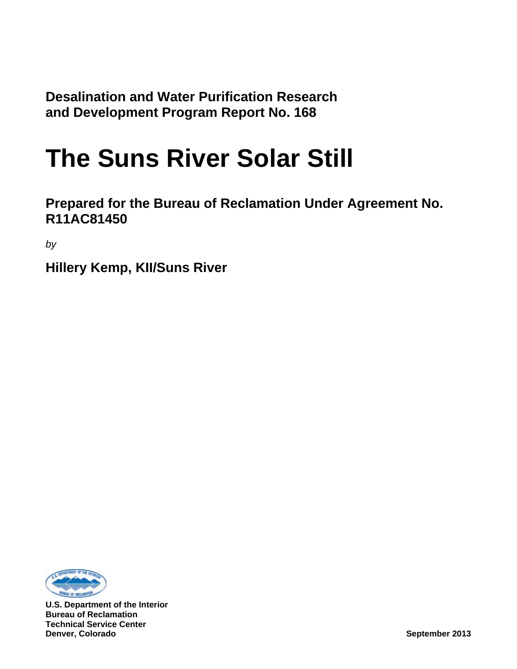**Desalination and Water Purification Research and Development Program Report No. 168**

## **The Suns River Solar Still**

**Prepared for the Bureau of Reclamation Under Agreement No. R11AC81450**

*by*

**Hillery Kemp, KII/Suns River**



**U.S. Department of the Interior Bureau of Reclamation Technical Service Center Denver, Colorado September 2013**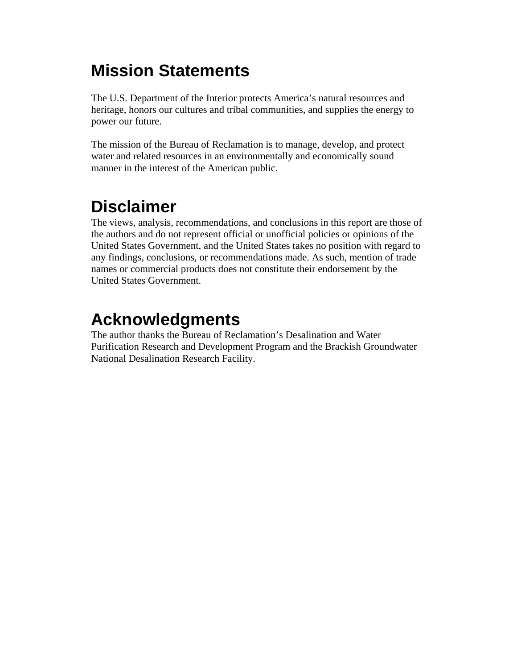#### **Mission Statements**

The U.S. Department of the Interior protects America's natural resources and heritage, honors our cultures and tribal communities, and supplies the energy to power our future.

The mission of the Bureau of Reclamation is to manage, develop, and protect water and related resources in an environmentally and economically sound manner in the interest of the American public.

### **Disclaimer**

The views, analysis, recommendations, and conclusions in this report are those of the authors and do not represent official or unofficial policies or opinions of the United States Government, and the United States takes no position with regard to any findings, conclusions, or recommendations made. As such, mention of trade names or commercial products does not constitute their endorsement by the United States Government.

#### **Acknowledgments**

The author thanks the Bureau of Reclamation's Desalination and Water Purification Research and Development Program and the Brackish Groundwater National Desalination Research Facility.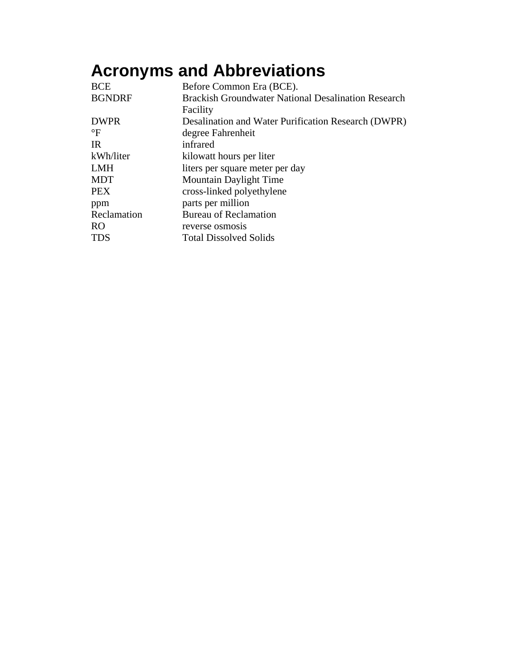## **Acronyms and Abbreviations**

| <b>BCE</b>      | Before Common Era (BCE).                                   |
|-----------------|------------------------------------------------------------|
| <b>BGNDRF</b>   | <b>Brackish Groundwater National Desalination Research</b> |
|                 | Facility                                                   |
| <b>DWPR</b>     | Desalination and Water Purification Research (DWPR)        |
| $\rm ^{\circ}F$ | degree Fahrenheit                                          |
| <b>IR</b>       | infrared                                                   |
| kWh/liter       | kilowatt hours per liter                                   |
| <b>LMH</b>      | liters per square meter per day                            |
| <b>MDT</b>      | <b>Mountain Daylight Time</b>                              |
| <b>PEX</b>      | cross-linked polyethylene                                  |
| ppm             | parts per million                                          |
| Reclamation     | <b>Bureau of Reclamation</b>                               |
| RO.             | reverse osmosis                                            |
| TDS             | <b>Total Dissolved Solids</b>                              |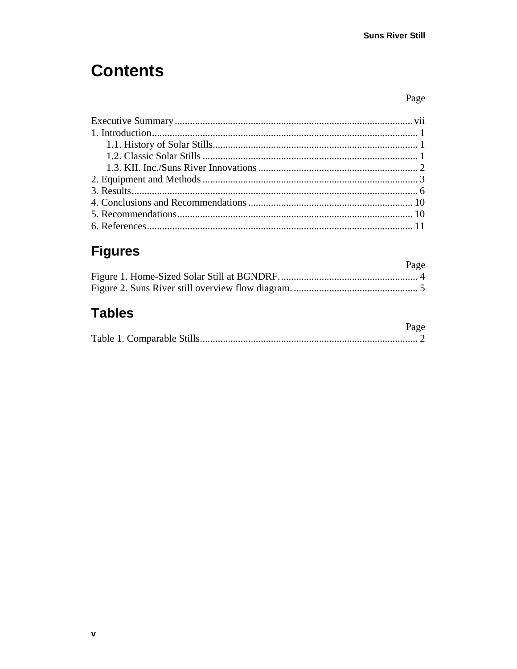#### **Contents**

#### Page

#### **Figures**

| Page |
|------|
|      |
|      |

#### **Tables**

| Page |
|------|
|      |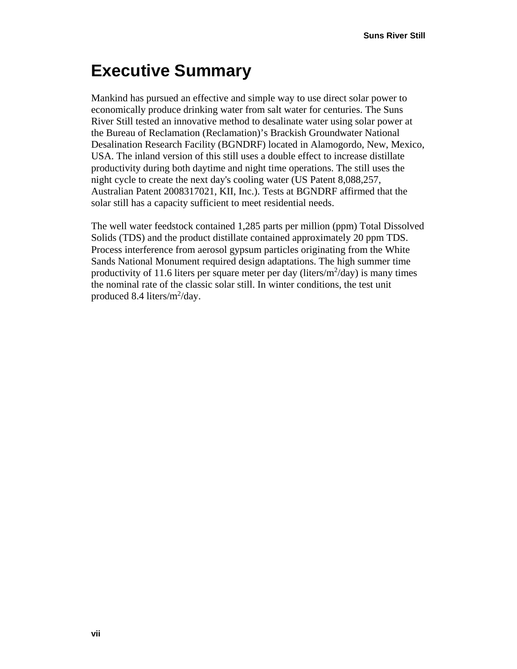### <span id="page-10-0"></span>**Executive Summary**

Mankind has pursued an effective and simple way to use direct solar power to economically produce drinking water from salt water for centuries. The Suns River Still tested an innovative method to desalinate water using solar power at the Bureau of Reclamation (Reclamation)'s Brackish Groundwater National Desalination Research Facility (BGNDRF) located in Alamogordo, New, Mexico, USA. The inland version of this still uses a double effect to increase distillate productivity during both daytime and night time operations. The still uses the night cycle to create the next day's cooling water (US Patent 8,088,257, Australian Patent 2008317021, KII, Inc.). Tests at BGNDRF affirmed that the solar still has a capacity sufficient to meet residential needs.

The well water feedstock contained 1,285 parts per million (ppm) Total Dissolved Solids (TDS) and the product distillate contained approximately 20 ppm TDS. Process interference from aerosol gypsum particles originating from the White Sands National Monument required design adaptations. The high summer time productivity of 11.6 liters per square meter per day (liters/ $m^2$ /day) is many times the nominal rate of the classic solar still. In winter conditions, the test unit produced 8.4 liters/ $m^2$ /day.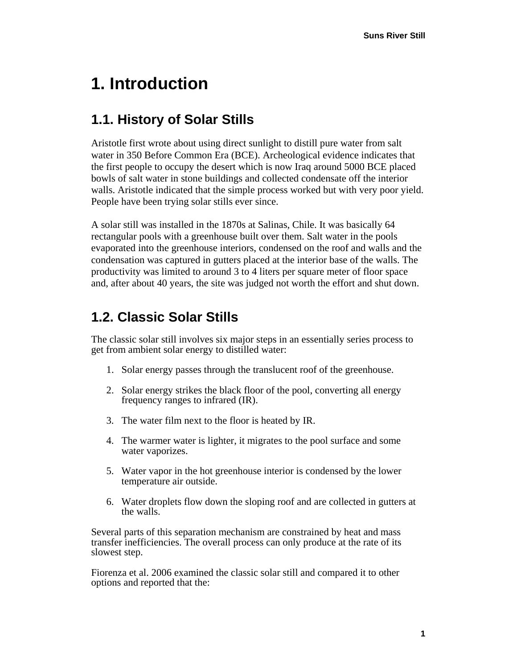#### <span id="page-12-0"></span>**1. Introduction**

#### <span id="page-12-1"></span>**1.1. History of Solar Stills**

Aristotle first wrote about using direct sunlight to distill pure water from salt water in 350 Before Common Era (BCE). Archeological evidence indicates that the first people to occupy the desert which is now Iraq around 5000 BCE placed bowls of salt water in stone buildings and collected condensate off the interior walls. Aristotle indicated that the simple process worked but with very poor yield. People have been trying solar stills ever since.

A solar still was installed in the 1870s at Salinas, Chile. It was basically 64 rectangular pools with a greenhouse built over them. Salt water in the pools evaporated into the greenhouse interiors, condensed on the roof and walls and the condensation was captured in gutters placed at the interior base of the walls. The productivity was limited to around 3 to 4 liters per square meter of floor space and, after about 40 years, the site was judged not worth the effort and shut down.

#### <span id="page-12-2"></span>**1.2. Classic Solar Stills**

The classic solar still involves six major steps in an essentially series process to get from ambient solar energy to distilled water:

- 1. Solar energy passes through the translucent roof of the greenhouse.
- 2. Solar energy strikes the black floor of the pool, converting all energy frequency ranges to infrared (IR).
- 3. The water film next to the floor is heated by IR.
- 4. The warmer water is lighter, it migrates to the pool surface and some water vaporizes.
- 5. Water vapor in the hot greenhouse interior is condensed by the lower temperature air outside.
- 6. Water droplets flow down the sloping roof and are collected in gutters at the walls.

Several parts of this separation mechanism are constrained by heat and mass transfer inefficiencies. The overall process can only produce at the rate of its slowest step.

Fiorenza et al. 2006 examined the classic solar still and compared it to other options and reported that the: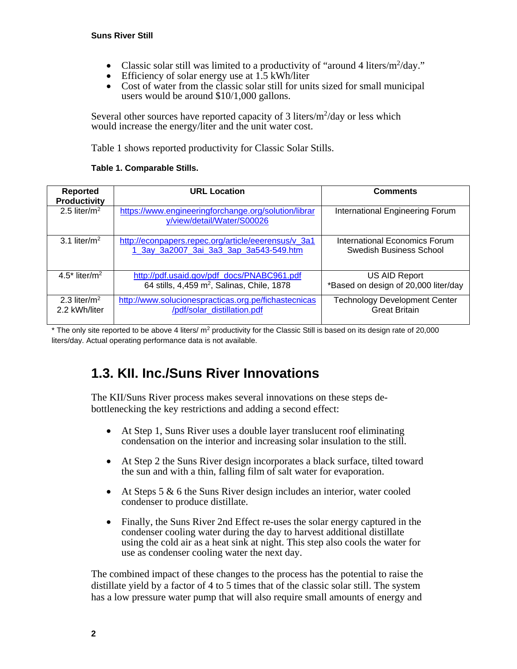- Classic solar still was limited to a productivity of "around 4 liters/ $m^2$ /day."
- Efficiency of solar energy use at 1.5 kWh/liter
- Cost of water from the classic solar still for units sized for small municipal users would be around \$10/1,000 gallons.

Several other sources have reported capacity of 3 liters/ $m^2$ /day or less which would increase the energy/liter and the unit water cost.

[Table 1](#page-13-1) shows reported productivity for Classic Solar Stills.

#### **Table 1. Comparable Stills.**

<span id="page-13-1"></span>

| <b>Reported</b><br><b>Productivity</b> | <b>URL Location</b>                                                                                  | <b>Comments</b>                                              |
|----------------------------------------|------------------------------------------------------------------------------------------------------|--------------------------------------------------------------|
| 2.5 liter/ $m2$                        | https://www.engineeringforchange.org/solution/librar<br>y/view/detail/Water/S00026                   | International Engineering Forum                              |
| 3.1 liter/ $m2$                        | http://econpapers.repec.org/article/eeerensus/v_3a1<br>1 3ay 3a2007 3ai 3a3 3ap 3a543-549.htm        | International Economics Forum<br>Swedish Business School     |
| 4.5* liter/m <sup>2</sup>              | http://pdf.usaid.gov/pdf_docs/PNABC961.pdf<br>64 stills, 4,459 m <sup>2</sup> , Salinas, Chile, 1878 | US AID Report<br>*Based on design of 20,000 liter/day        |
| 2.3 liter/ $m2$<br>2.2 kWh/liter       | http://www.solucionespracticas.org.pe/fichastecnicas<br>/pdf/solar_distillation.pdf                  | <b>Technology Development Center</b><br><b>Great Britain</b> |

\* The only site reported to be above 4 liters/  $m^2$  productivity for the Classic Still is based on its design rate of 20,000 liters/day. Actual operating performance data is not available.

#### <span id="page-13-0"></span>**1.3. KII. Inc./Suns River Innovations**

The KII/Suns River process makes several innovations on these steps debottlenecking the key restrictions and adding a second effect:

- At Step 1, Suns River uses a double layer translucent roof eliminating condensation on the interior and increasing solar insulation to the still.
- At Step 2 the Suns River design incorporates a black surface, tilted toward the sun and with a thin, falling film of salt water for evaporation.
- At Steps 5 & 6 the Suns River design includes an interior, water cooled condenser to produce distillate.
- Finally, the Suns River 2nd Effect re-uses the solar energy captured in the condenser cooling water during the day to harvest additional distillate using the cold air as a heat sink at night. This step also cools the water for use as condenser cooling water the next day.

The combined impact of these changes to the process has the potential to raise the distillate yield by a factor of 4 to 5 times that of the classic solar still. The system has a low pressure water pump that will also require small amounts of energy and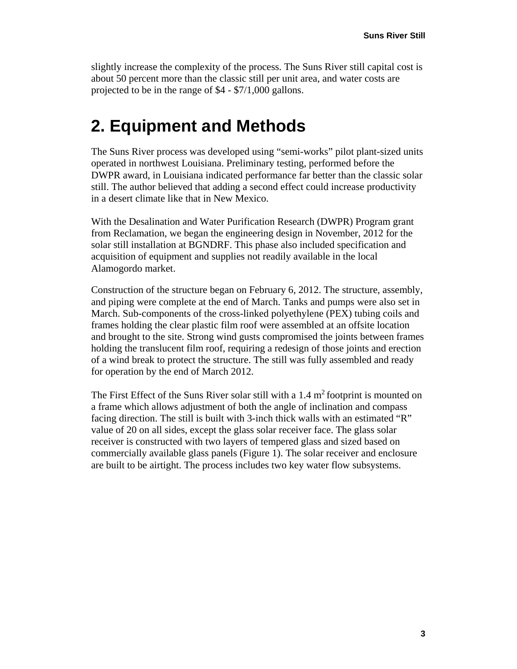slightly increase the complexity of the process. The Suns River still capital cost is about 50 percent more than the classic still per unit area, and water costs are projected to be in the range of \$4 - \$7/1,000 gallons.

#### <span id="page-14-0"></span>**2. Equipment and Methods**

The Suns River process was developed using "semi-works" pilot plant-sized units operated in northwest Louisiana. Preliminary testing, performed before the DWPR award, in Louisiana indicated performance far better than the classic solar still. The author believed that adding a second effect could increase productivity in a desert climate like that in New Mexico.

With the Desalination and Water Purification Research (DWPR) Program grant from Reclamation, we began the engineering design in November, 2012 for the solar still installation at BGNDRF. This phase also included specification and acquisition of equipment and supplies not readily available in the local Alamogordo market.

Construction of the structure began on February 6, 2012. The structure, assembly, and piping were complete at the end of March. Tanks and pumps were also set in March. Sub-components of the cross-linked polyethylene (PEX) tubing coils and frames holding the clear plastic film roof were assembled at an offsite location and brought to the site. Strong wind gusts compromised the joints between frames holding the translucent film roof, requiring a redesign of those joints and erection of a wind break to protect the structure. The still was fully assembled and ready for operation by the end of March 2012.

The First Effect of the Suns River solar still with a  $1.4 \text{ m}^2$  footprint is mounted on a frame which allows adjustment of both the angle of inclination and compass facing direction. The still is built with 3-inch thick walls with an estimated "R" value of 20 on all sides, except the glass solar receiver face. The glass solar receiver is constructed with two layers of tempered glass and sized based on commercially available glass panels [\(Figure 1\)](#page-15-0). The solar receiver and enclosure are built to be airtight. The process includes two key water flow subsystems.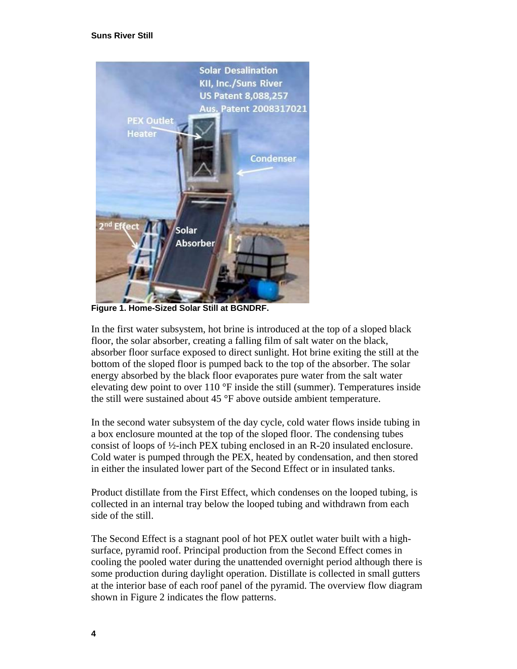

**Figure 1. Home-Sized Solar Still at BGNDRF.**

<span id="page-15-0"></span>In the first water subsystem, hot brine is introduced at the top of a sloped black floor, the solar absorber, creating a falling film of salt water on the black, absorber floor surface exposed to direct sunlight. Hot brine exiting the still at the bottom of the sloped floor is pumped back to the top of the absorber. The solar energy absorbed by the black floor evaporates pure water from the salt water elevating dew point to over 110 °F inside the still (summer). Temperatures inside the still were sustained about 45 °F above outside ambient temperature.

In the second water subsystem of the day cycle, cold water flows inside tubing in a box enclosure mounted at the top of the sloped floor. The condensing tubes consist of loops of ½-inch PEX tubing enclosed in an R-20 insulated enclosure. Cold water is pumped through the PEX, heated by condensation, and then stored in either the insulated lower part of the Second Effect or in insulated tanks.

Product distillate from the First Effect, which condenses on the looped tubing, is collected in an internal tray below the looped tubing and withdrawn from each side of the still.

The Second Effect is a stagnant pool of hot PEX outlet water built with a highsurface, pyramid roof. Principal production from the Second Effect comes in cooling the pooled water during the unattended overnight period although there is some production during daylight operation. Distillate is collected in small gutters at the interior base of each roof panel of the pyramid. The overview flow diagram shown in [Figure 2](#page-16-0) indicates the flow patterns.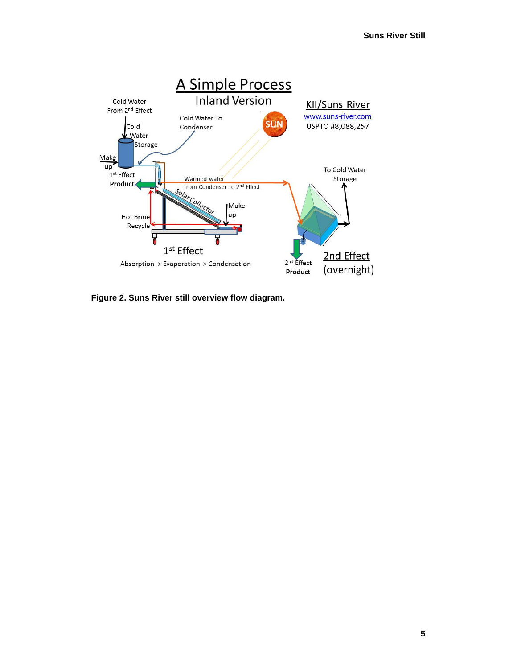

<span id="page-16-0"></span>**Figure 2. Suns River still overview flow diagram.**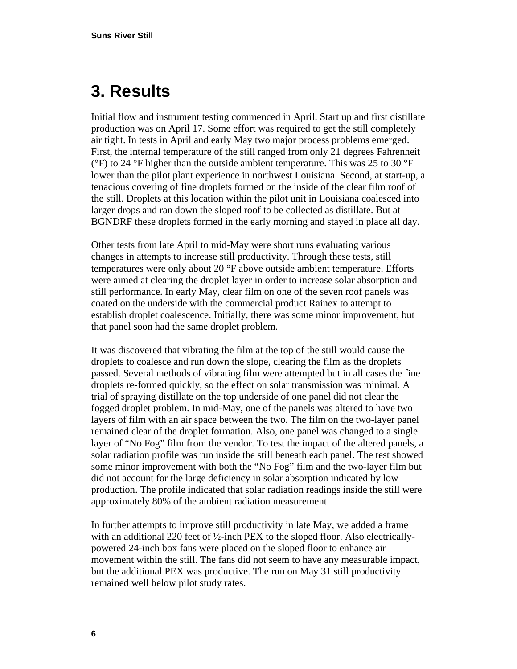#### <span id="page-17-0"></span>**3. Results**

Initial flow and instrument testing commenced in April. Start up and first distillate production was on April 17. Some effort was required to get the still completely air tight. In tests in April and early May two major process problems emerged. First, the internal temperature of the still ranged from only 21 degrees Fahrenheit ( $\degree$ F) to 24  $\degree$ F higher than the outside ambient temperature. This was 25 to 30  $\degree$ F lower than the pilot plant experience in northwest Louisiana. Second, at start-up, a tenacious covering of fine droplets formed on the inside of the clear film roof of the still. Droplets at this location within the pilot unit in Louisiana coalesced into larger drops and ran down the sloped roof to be collected as distillate. But at BGNDRF these droplets formed in the early morning and stayed in place all day.

Other tests from late April to mid-May were short runs evaluating various changes in attempts to increase still productivity. Through these tests, still temperatures were only about 20 °F above outside ambient temperature. Efforts were aimed at clearing the droplet layer in order to increase solar absorption and still performance. In early May, clear film on one of the seven roof panels was coated on the underside with the commercial product Rainex to attempt to establish droplet coalescence. Initially, there was some minor improvement, but that panel soon had the same droplet problem.

It was discovered that vibrating the film at the top of the still would cause the droplets to coalesce and run down the slope, clearing the film as the droplets passed. Several methods of vibrating film were attempted but in all cases the fine droplets re-formed quickly, so the effect on solar transmission was minimal. A trial of spraying distillate on the top underside of one panel did not clear the fogged droplet problem. In mid-May, one of the panels was altered to have two layers of film with an air space between the two. The film on the two-layer panel remained clear of the droplet formation. Also, one panel was changed to a single layer of "No Fog" film from the vendor. To test the impact of the altered panels, a solar radiation profile was run inside the still beneath each panel. The test showed some minor improvement with both the "No Fog" film and the two-layer film but did not account for the large deficiency in solar absorption indicated by low production. The profile indicated that solar radiation readings inside the still were approximately 80% of the ambient radiation measurement.

In further attempts to improve still productivity in late May, we added a frame with an additional 220 feet of  $\frac{1}{2}$ -inch PEX to the sloped floor. Also electricallypowered 24-inch box fans were placed on the sloped floor to enhance air movement within the still. The fans did not seem to have any measurable impact, but the additional PEX was productive. The run on May 31 still productivity remained well below pilot study rates.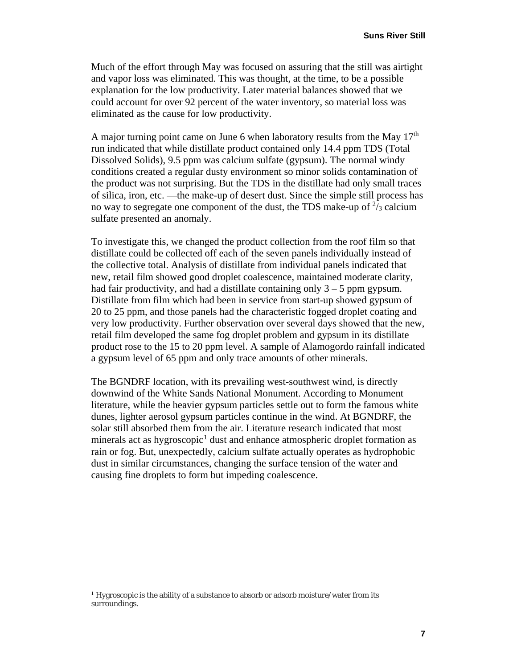Much of the effort through May was focused on assuring that the still was airtight and vapor loss was eliminated. This was thought, at the time, to be a possible explanation for the low productivity. Later material balances showed that we could account for over 92 percent of the water inventory, so material loss was eliminated as the cause for low productivity.

A major turning point came on June 6 when laboratory results from the May  $17<sup>th</sup>$ run indicated that while distillate product contained only 14.4 ppm TDS (Total Dissolved Solids), 9.5 ppm was calcium sulfate (gypsum). The normal windy conditions created a regular dusty environment so minor solids contamination of the product was not surprising. But the TDS in the distillate had only small traces of silica, iron, etc. —the make-up of desert dust. Since the simple still process has no way to segregate one component of the dust, the TDS make-up of  $\frac{2}{3}$  calcium sulfate presented an anomaly.

To investigate this, we changed the product collection from the roof film so that distillate could be collected off each of the seven panels individually instead of the collective total. Analysis of distillate from individual panels indicated that new, retail film showed good droplet coalescence, maintained moderate clarity, had fair productivity, and had a distillate containing only  $3 - 5$  ppm gypsum. Distillate from film which had been in service from start-up showed gypsum of 20 to 25 ppm, and those panels had the characteristic fogged droplet coating and very low productivity. Further observation over several days showed that the new, retail film developed the same fog droplet problem and gypsum in its distillate product rose to the 15 to 20 ppm level. A sample of Alamogordo rainfall indicated a gypsum level of 65 ppm and only trace amounts of other minerals.

The BGNDRF location, with its prevailing west-southwest wind, is directly downwind of the White Sands National Monument. According to Monument literature, while the heavier gypsum particles settle out to form the famous white dunes, lighter aerosol gypsum particles continue in the wind. At BGNDRF, the solar still absorbed them from the air. Literature research indicated that most minerals act as hygroscopic<sup>[1](#page-18-0)</sup> dust and enhance atmospheric droplet formation as rain or fog. But, unexpectedly, calcium sulfate actually operates as hydrophobic dust in similar circumstances, changing the surface tension of the water and causing fine droplets to form but impeding coalescence.

 $\overline{a}$ 

<span id="page-18-0"></span><sup>&</sup>lt;sup>1</sup> Hygroscopic is the ability of a substance to absorb or adsorb moisture/water from its surroundings.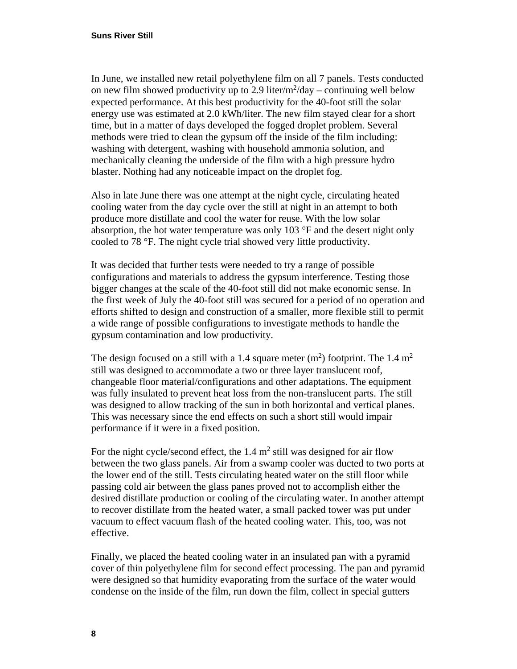In June, we installed new retail polyethylene film on all 7 panels. Tests conducted on new film showed productivity up to 2.9 liter/ $m^2$ /day – continuing well below expected performance. At this best productivity for the 40-foot still the solar energy use was estimated at 2.0 kWh/liter. The new film stayed clear for a short time, but in a matter of days developed the fogged droplet problem. Several methods were tried to clean the gypsum off the inside of the film including: washing with detergent, washing with household ammonia solution, and mechanically cleaning the underside of the film with a high pressure hydro blaster. Nothing had any noticeable impact on the droplet fog.

Also in late June there was one attempt at the night cycle, circulating heated cooling water from the day cycle over the still at night in an attempt to both produce more distillate and cool the water for reuse. With the low solar absorption, the hot water temperature was only 103 °F and the desert night only cooled to 78 °F. The night cycle trial showed very little productivity.

It was decided that further tests were needed to try a range of possible configurations and materials to address the gypsum interference. Testing those bigger changes at the scale of the 40-foot still did not make economic sense. In the first week of July the 40-foot still was secured for a period of no operation and efforts shifted to design and construction of a smaller, more flexible still to permit a wide range of possible configurations to investigate methods to handle the gypsum contamination and low productivity.

The design focused on a still with a 1.4 square meter  $(m<sup>2</sup>)$  footprint. The 1.4  $m<sup>2</sup>$ still was designed to accommodate a two or three layer translucent roof, changeable floor material/configurations and other adaptations. The equipment was fully insulated to prevent heat loss from the non-translucent parts. The still was designed to allow tracking of the sun in both horizontal and vertical planes. This was necessary since the end effects on such a short still would impair performance if it were in a fixed position.

For the night cycle/second effect, the  $1.4 \text{ m}^2$  still was designed for air flow between the two glass panels. Air from a swamp cooler was ducted to two ports at the lower end of the still. Tests circulating heated water on the still floor while passing cold air between the glass panes proved not to accomplish either the desired distillate production or cooling of the circulating water. In another attempt to recover distillate from the heated water, a small packed tower was put under vacuum to effect vacuum flash of the heated cooling water. This, too, was not effective.

Finally, we placed the heated cooling water in an insulated pan with a pyramid cover of thin polyethylene film for second effect processing. The pan and pyramid were designed so that humidity evaporating from the surface of the water would condense on the inside of the film, run down the film, collect in special gutters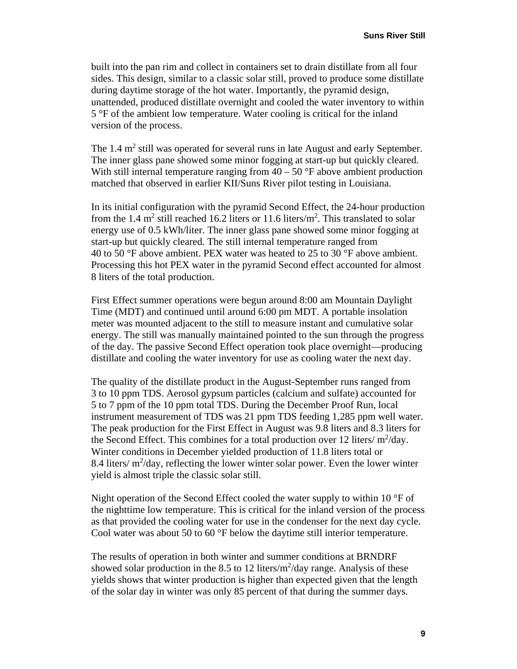built into the pan rim and collect in containers set to drain distillate from all four sides. This design, similar to a classic solar still, proved to produce some distillate during daytime storage of the hot water. Importantly, the pyramid design, unattended, produced distillate overnight and cooled the water inventory to within 5 °F of the ambient low temperature. Water cooling is critical for the inland version of the process.

The  $1.4 \text{ m}^2$  still was operated for several runs in late August and early September. The inner glass pane showed some minor fogging at start-up but quickly cleared. With still internal temperature ranging from  $40 - 50$  °F above ambient production matched that observed in earlier KII/Suns River pilot testing in Louisiana.

In its initial configuration with the pyramid Second Effect, the 24-hour production from the 1.4  $m^2$  still reached 16.2 liters or 11.6 liters/ $m^2$ . This translated to solar energy use of 0.5 kWh/liter. The inner glass pane showed some minor fogging at start-up but quickly cleared. The still internal temperature ranged from 40 to 50  $\degree$ F above ambient. PEX water was heated to 25 to 30  $\degree$ F above ambient. Processing this hot PEX water in the pyramid Second effect accounted for almost 8 liters of the total production.

First Effect summer operations were begun around 8:00 am Mountain Daylight Time (MDT) and continued until around 6:00 pm MDT. A portable insolation meter was mounted adjacent to the still to measure instant and cumulative solar energy. The still was manually maintained pointed to the sun through the progress of the day. The passive Second Effect operation took place overnight—producing distillate and cooling the water inventory for use as cooling water the next day.

The quality of the distillate product in the August-September runs ranged from 3 to 10 ppm TDS. Aerosol gypsum particles (calcium and sulfate) accounted for 5 to 7 ppm of the 10 ppm total TDS. During the December Proof Run, local instrument measurement of TDS was 21 ppm TDS feeding 1,285 ppm well water. The peak production for the First Effect in August was 9.8 liters and 8.3 liters for the Second Effect. This combines for a total production over 12 liters/ $m^2$ /day. Winter conditions in December yielded production of 11.8 liters total or 8.4 liters/ $m^2$ /day, reflecting the lower winter solar power. Even the lower winter yield is almost triple the classic solar still.

Night operation of the Second Effect cooled the water supply to within 10 °F of the nighttime low temperature. This is critical for the inland version of the process as that provided the cooling water for use in the condenser for the next day cycle. Cool water was about 50 to 60 °F below the daytime still interior temperature.

The results of operation in both winter and summer conditions at BRNDRF showed solar production in the 8.5 to 12 liters/ $m^2$ /day range. Analysis of these yields shows that winter production is higher than expected given that the length of the solar day in winter was only 85 percent of that during the summer days.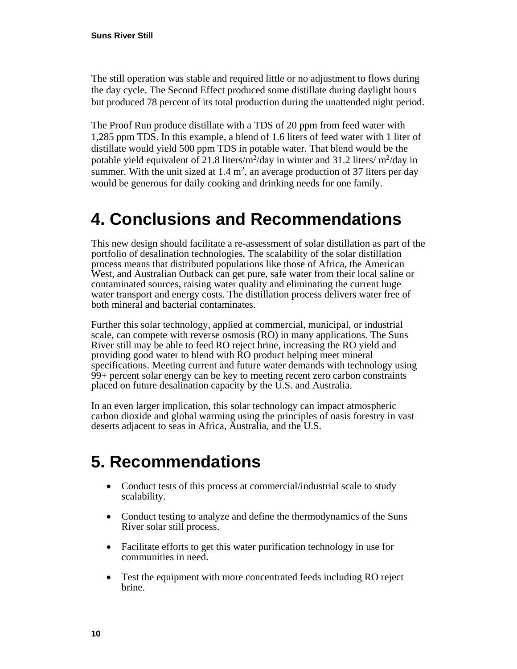The still operation was stable and required little or no adjustment to flows during the day cycle. The Second Effect produced some distillate during daylight hours but produced 78 percent of its total production during the unattended night period.

The Proof Run produce distillate with a TDS of 20 ppm from feed water with 1,285 ppm TDS. In this example, a blend of 1.6 liters of feed water with 1 liter of distillate would yield 500 ppm TDS in potable water. That blend would be the potable yield equivalent of 21.8 liters/ $m^2$ /day in winter and 31.2 liters/ $m^2$ /day in summer. With the unit sized at  $1.4 \text{ m}^2$ , an average production of 37 liters per day would be generous for daily cooking and drinking needs for one family.

#### <span id="page-21-0"></span>**4. Conclusions and Recommendations**

This new design should facilitate a re-assessment of solar distillation as part of the portfolio of desalination technologies. The scalability of the solar distillation process means that distributed populations like those of Africa, the American West, and Australian Outback can get pure, safe water from their local saline or contaminated sources, raising water quality and eliminating the current huge water transport and energy costs. The distillation process delivers water free of both mineral and bacterial contaminates.

Further this solar technology, applied at commercial, municipal, or industrial scale, can compete with reverse osmosis (RO) in many applications. The Suns River still may be able to feed RO reject brine, increasing the RO yield and providing good water to blend with RO product helping meet mineral specifications. Meeting current and future water demands with technology using 99+ percent solar energy can be key to meeting recent zero carbon constraints placed on future desalination capacity by the U.S. and Australia.

In an even larger implication, this solar technology can impact atmospheric carbon dioxide and global warming using the principles of oasis forestry in vast deserts adjacent to seas in Africa, Australia, and the U.S.

#### <span id="page-21-1"></span>**5. Recommendations**

- Conduct tests of this process at commercial/industrial scale to study scalability.
- Conduct testing to analyze and define the thermodynamics of the Suns River solar still process.
- Facilitate efforts to get this water purification technology in use for communities in need.
- Test the equipment with more concentrated feeds including RO reject brine.